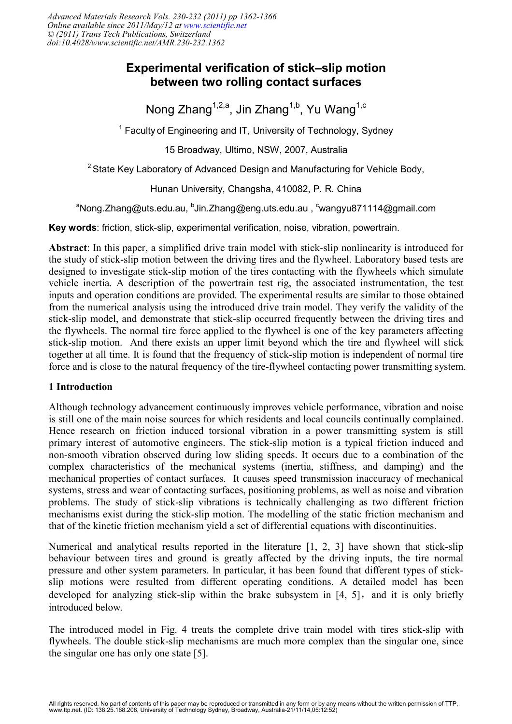*Advanced Materials Research Vols. 230-232 (2011) pp 1362-1366 Online available since 2011/May/12 at [www.scientific.net](http://www.scientific.net) © (2011) Trans Tech Publications, Switzerland doi:10.4028/www.scientific.net/AMR.230-232.1362*

# **Experimental verification of stick–slip motion** between two rolling contact surfaces

Nong Zhang<sup>1,2,a</sup>, Jin Zhang<sup>1,b</sup>, Yu Wang<sup>1,c</sup>

<sup>1</sup> Faculty of Engineering and IT, University of Technology, Sydney

15 Broadway, Ultimo, NSW, 2007, Australia

 $^2$ State Key Laboratory of Advanced Design and Manufacturing for Vehicle Body,

Hunan University, Changsha, 410082, P. R. China

<sup>a</sup>Nong.Zhang@uts.edu.au, <sup>b</sup>Jin.Zhang@eng.uts.edu.au , <sup>c</sup>wangyu871114@gmail.com

**Key words:** friction, stick-slip, experimental verification, noise, vibration, powertrain.

Abstract: In this paper, a simplified drive train model with stick-slip nonlinearity is introduced for the study of stick-slip motion between the driving tires and the flywheel. Laboratory based tests are designed to investigate stick-slip motion of the tires contacting with the flywheels which simulate vehicle inertia. A description of the powertrain test rig, the associated instrumentation, the test inputs and operation conditions are provided. The experimental results are similar to those obtained from the numerical analysis using the introduced drive train model. They verify the validity of the stick-slip model, and demonstrate that stick-slip occurred frequently between the driving tires and the flywheels. The normal tire force applied to the flywheel is one of the key parameters affecting stick-slip motion. And there exists an upper limit beyond which the tire and flywheel will stick together at all time. It is found that the frequency of stick-slip motion is independent of normal tire force and is close to the natural frequency of the tire-flywheel contacting power transmitting system.

## **1** Introduction

Although technology advancement continuously improves vehicle performance, vibration and noise is still one of the main noise sources for which residents and local councils continually complained. Hence research on friction induced torsional vibration in a power transmitting system is still primary interest of automotive engineers. The stick-slip motion is a typical friction induced and non-smooth vibration observed during low sliding speeds. It occurs due to a combination of the complex characteristics of the mechanical systems (inertia, stiffness, and damping) and the mechanical properties of contact surfaces. It causes speed transmission inaccuracy of mechanical systems, stress and wear of contacting surfaces, positioning problems, as well as noise and vibration problems. The study of stick-slip vibrations is technically challenging as two different friction mechanisms exist during the stick-slip motion. The modelling of the static friction mechanism and that of the kinetic friction mechanism yield a set of differential equations with discontinuities.

Numerical and analytical results reported in the literature  $[1, 2, 3]$  have shown that stick-slip behaviour between tires and ground is greatly affected by the driving inputs, the tire normal pressure and other system parameters. In particular, it has been found that different types of stickslip motions were resulted from different operating conditions. A detailed model has been developed for analyzing stick-slip within the brake subsystem in  $[4, 5]$ , and it is only briefly introduced below.

The introduced model in Fig. 4 treats the complete drive train model with tires stick-slip with flywheels. The double stick-slip mechanisms are much more complex than the singular one, since the singular one has only one state  $[5]$ .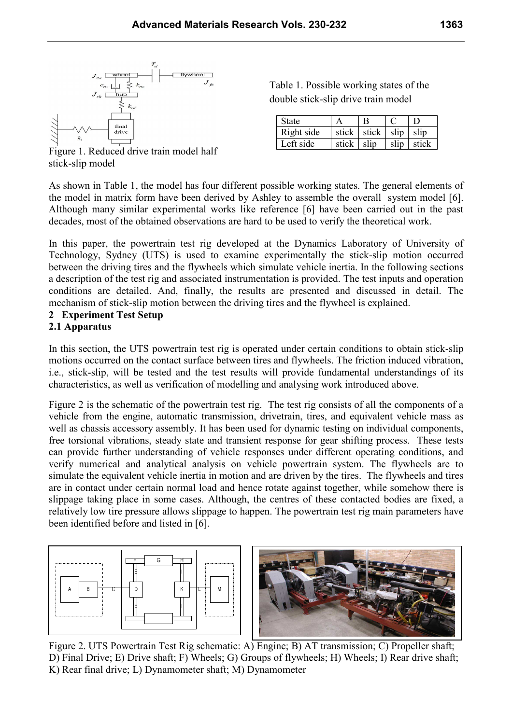

Table 1. Possible working states of the double stick-slip drive train model

| State      |            |                             |      |       |
|------------|------------|-----------------------------|------|-------|
| Right side |            | stick   stick   slip   slip |      |       |
| Left side  | stick slip |                             | slip | stick |

Figure 1. Reduced drive train model half stick-slip model

As shown in Table 1, the model has four different possible working states. The general elements of the model in matrix form have been derived by Ashley to assemble the overall system model [6]. Although many similar experimental works like reference [6] have been carried out in the past decades, most of the obtained observations are hard to be used to verify the theoretical work.

In this paper, the powertrain test rig developed at the Dynamics Laboratory of University of Technology, Sydney (UTS) is used to examine experimentally the stick-slip motion occurred between the driving tires and the flywheels which simulate vehicle inertia. In the following sections a description of the test rig and associated instrumentation is provided. The test inputs and operation conditions are detailed. And, finally, the results are presented and discussed in detail. The mechanism of stick-slip motion between the driving tires and the flywheel is explained.

## 2 Experiment Test Setup

#### 2.1 Apparatus

In this section, the UTS powertrain test rig is operated under certain conditions to obtain stick-slip motions occurred on the contact surface between tires and flywheels. The friction induced vibration, i.e., stick-slip, will be tested and the test results will provide fundamental understandings of its characteristics, as well as verification of modelling and analysing work introduced above.

Figure 2 is the schematic of the powertrain test rig. The test rig consists of all the components of a vehicle from the engine, automatic transmission, drivetrain, tires, and equivalent vehicle mass as well as chassis accessory assembly. It has been used for dynamic testing on individual components, free torsional vibrations, steady state and transient response for gear shifting process. These tests can provide further understanding of vehicle responses under different operating conditions, and verify numerical and analytical analysis on vehicle powertrain system. The flywheels are to simulate the equivalent vehicle inertia in motion and are driven by the tires. The flywheels and tires are in contact under certain normal load and hence rotate against together, while somehow there is slippage taking place in some cases. Although, the centres of these contacted bodies are fixed, a relatively low tire pressure allows slippage to happen. The powertrain test rig main parameters have been identified before and listed in [6].





Figure 2. UTS Powertrain Test Rig schematic: A) Engine; B) AT transmission; C) Propeller shaft; D) Final Drive; E) Drive shaft; F) Wheels; G) Groups of flywheels; H) Wheels; I) Rear drive shaft; K) Rear final drive; L) Dynamometer shaft; M) Dynamometer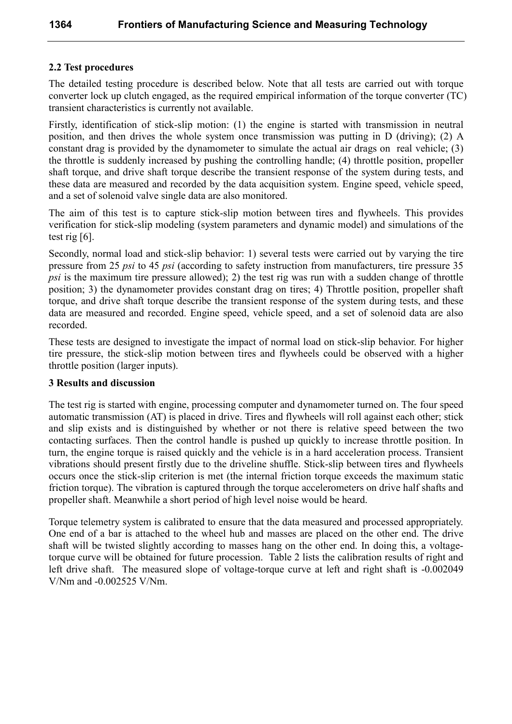#### 2.2 Test procedures

The detailed testing procedure is described below. Note that all tests are carried out with torque converter lock up clutch engaged, as the required empirical information of the torque converter (TC) transient characteristics is currently not available.

Firstly, identification of stick-slip motion: (1) the engine is started with transmission in neutral position, and then drives the whole system once transmission was putting in D (driving); (2) A constant drag is provided by the dynamometer to simulate the actual air drags on real vehicle; (3) the throttle is suddenly increased by pushing the controlling handle; (4) throttle position, propeller shaft torque, and drive shaft torque describe the transient response of the system during tests, and these data are measured and recorded by the data acquisition system. Engine speed, vehicle speed, and a set of solenoid valve single data are also monitored.

The aim of this test is to capture stick-slip motion between tires and flywheels. This provides verification for stick-slip modeling (system parameters and dynamic model) and simulations of the test rig  $[6]$ .

Secondly, normal load and stick-slip behavior: 1) several tests were carried out by varying the tire pressure from 25 psi to 45 psi (according to safety instruction from manufacturers, tire pressure 35 *psi* is the maximum tire pressure allowed); 2) the test rig was run with a sudden change of throttle position; 3) the dynamometer provides constant drag on tires; 4) Throttle position, propeller shaft torque, and drive shaft torque describe the transient response of the system during tests, and these data are measured and recorded. Engine speed, vehicle speed, and a set of solenoid data are also recorded.

These tests are designed to investigate the impact of normal load on stick-slip behavior. For higher tire pressure, the stick-slip motion between tires and flywheels could be observed with a higher throttle position (larger inputs).

#### **3 Results and discussion**

The test rig is started with engine, processing computer and dynamometer turned on. The four speed automatic transmission (AT) is placed in drive. Tires and flywheels will roll against each other; stick and slip exists and is distinguished by whether or not there is relative speed between the two contacting surfaces. Then the control handle is pushed up quickly to increase throttle position. In turn, the engine torque is raised quickly and the vehicle is in a hard acceleration process. Transient vibrations should present firstly due to the driveline shuffle. Stick-slip between tires and flywheels occurs once the stick-slip criterion is met (the internal friction torque exceeds the maximum static friction torque). The vibration is captured through the torque accelerometers on drive half shafts and propeller shaft. Meanwhile a short period of high level noise would be heard.

Torque telemetry system is calibrated to ensure that the data measured and processed appropriately. One end of a bar is attached to the wheel hub and masses are placed on the other end. The drive shaft will be twisted slightly according to masses hang on the other end. In doing this, a voltagetorque curve will be obtained for future procession. Table 2 lists the calibration results of right and left drive shaft. The measured slope of voltage-torque curve at left and right shaft is -0.002049 V/Nm and -0.002525 V/Nm.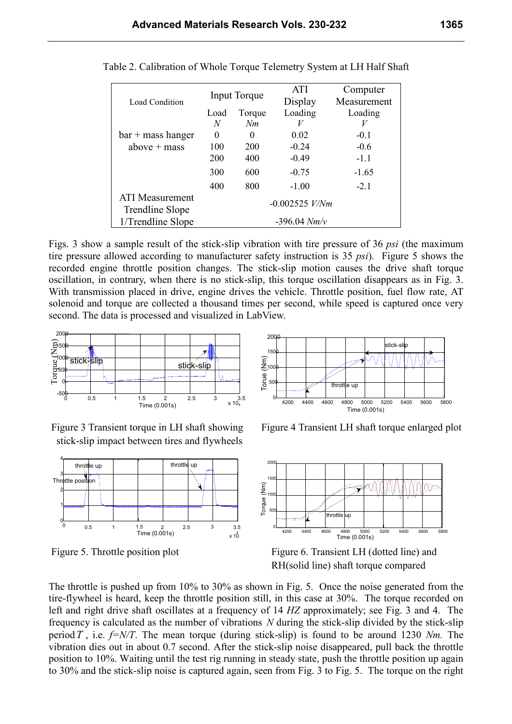| <b>Load Condition</b>                     | Input Torque<br>Load<br>Torque     |          | <b>ATI</b><br>Display | Computer<br>Measurement |  |
|-------------------------------------------|------------------------------------|----------|-----------------------|-------------------------|--|
|                                           |                                    |          | Loading               | Loading                 |  |
|                                           | N                                  | Nm       |                       |                         |  |
| $bar + mass hanger$                       | 0                                  | $\theta$ | 0.02                  | $-0.1$                  |  |
| above $+$ mass                            | 100                                | 200      | $-0.24$               | $-0.6$                  |  |
|                                           | 200                                | 400      | $-0.49$               | $-1.1$                  |  |
|                                           | 300                                | 600      | $-0.75$               | $-1.65$                 |  |
|                                           | 400                                | 800      | $-1.00$               | $-2.1$                  |  |
| <b>ATI</b> Measurement<br>Trendline Slope | $-0.002525$ V/Nm<br>$-396.04$ Nm/v |          |                       |                         |  |
| 1/Trendline Slope                         |                                    |          |                       |                         |  |

Table 2. Calibration of Whole Torque Telemetry System at LH Half Shaft

Figs. 3 show a sample result of the stick-slip vibration with tire pressure of 36 psi (the maximum tire pressure allowed according to manufacturer safety instruction is 35 psi). Figure 5 shows the recorded engine throttle position changes. The stick-slip motion causes the drive shaft torque oscillation, in contrary, when there is no stick-slip, this torque oscillation disappears as in Fig. 3. With transmission placed in drive, engine drives the vehicle. Throttle position, fuel flow rate, AT solenoid and torque are collected a thousand times per second, while speed is captured once very second. The data is processed and visualized in LabView.



Figure 3 Transient torque in LH shaft showing stick-slip impact between tires and flywheels



Figure 5. Throttle position plot



Figure 4 Transient LH shaft torque enlarged plot



Figure 6. Transient LH (dotted line) and RH(solid line) shaft torque compared

The throttle is pushed up from 10% to 30% as shown in Fig. 5. Once the noise generated from the tire-flywheel is heard, keep the throttle position still, in this case at 30%. The torque recorded on left and right drive shaft oscillates at a frequency of 14 HZ approximately; see Fig. 3 and 4. The frequency is calculated as the number of vibrations N during the stick-slip divided by the stick-slip period T, i.e.  $f = N/T$ . The mean torque (during stick-slip) is found to be around 1230 Nm. The vibration dies out in about 0.7 second. After the stick-slip noise disappeared, pull back the throttle position to 10%. Waiting until the test rig running in steady state, push the throttle position up again to 30% and the stick-slip noise is captured again, seen from Fig. 3 to Fig. 5. The torque on the right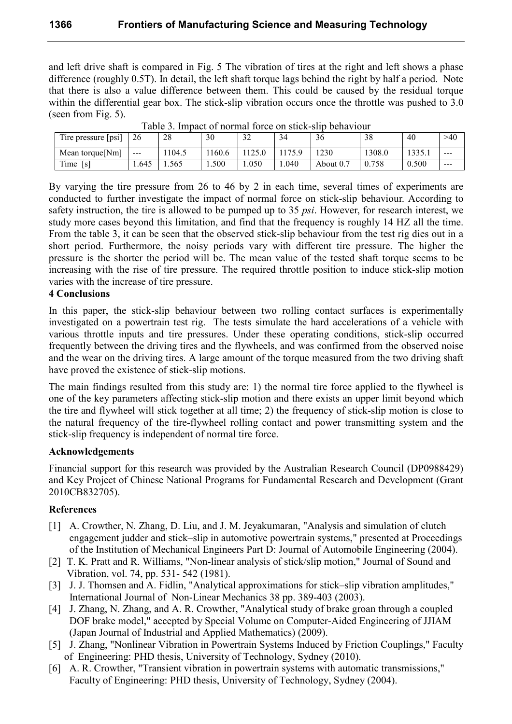and left drive shaft is compared in Fig. 5 The vibration of tires at the right and left shows a phase difference (roughly 0.5T). In detail, the left shaft torque lags behind the right by half a period. Note that there is also a value difference between them. This could be caused by the residual torque within the differential gear box. The stick-slip vibration occurs once the throttle was pushed to 3.0 (seen from Fig. 5).

| $\cdot$ -<br>$\mathbf{m}$<br>Tire pressure (psi) | 26      | 28    | 30     | $\sim$<br>ے ر | 34    | $\sim$<br>3t | 38    | 40                       | >40     |
|--------------------------------------------------|---------|-------|--------|---------------|-------|--------------|-------|--------------------------|---------|
| Mean torque [Nm]                                 | $- - -$ | 104.5 | 1160.6 | 125.0         | 175.9 | 1230         | 308.0 | 1335.<br>1 <i>555</i> .1 | $- - -$ |
| Time<br>[s]                                      | 1.645   | .565  | 1.500  | .050          | 1.040 | About 0.7    | 758   | 0.500                    | $- - -$ |

Table 3. Impact of normal force on stick-slip behaviour

By varying the tire pressure from 26 to 46 by 2 in each time, several times of experiments are conducted to further investigate the impact of normal force on stick-slip behaviour. According to safety instruction, the tire is allowed to be pumped up to 35 psi. However, for research interest, we study more cases beyond this limitation, and find that the frequency is roughly 14 HZ all the time. From the table 3, it can be seen that the observed stick-slip behaviour from the test rig dies out in a short period. Furthermore, the noisy periods vary with different tire pressure. The higher the pressure is the shorter the period will be. The mean value of the tested shaft torque seems to be increasing with the rise of tire pressure. The required throttle position to induce stick-slip motion varies with the increase of tire pressure.

#### **4 Conclusions**

In this paper, the stick-slip behaviour between two rolling contact surfaces is experimentally investigated on a powertrain test rig. The tests simulate the hard accelerations of a vehicle with various throttle inputs and tire pressures. Under these operating conditions, stick-slip occurred frequently between the driving tires and the flywheels, and was confirmed from the observed noise and the wear on the driving tires. A large amount of the torque measured from the two driving shaft have proved the existence of stick-slip motions.

The main findings resulted from this study are: 1) the normal tire force applied to the flywheel is one of the key parameters affecting stick-slip motion and there exists an upper limit beyond which the tire and flywheel will stick together at all time; 2) the frequency of stick-slip motion is close to the natural frequency of the tire-flywheel rolling contact and power transmitting system and the stick-slip frequency is independent of normal tire force.

## **Acknowledgements**

Financial support for this research was provided by the Australian Research Council (DP0988429) and Key Project of Chinese National Programs for Fundamental Research and Development (Grant 2010CB832705).

## **References**

- [1] A. Crowther, N. Zhang, D. Liu, and J. M. Jeyakumaran, "Analysis and simulation of clutch engagement judder and stick-slip in automotive powertrain systems," presented at Proceedings of the Institution of Mechanical Engineers Part D: Journal of Automobile Engineering (2004).
- [2] T. K. Pratt and R. Williams, "Non-linear analysis of stick/slip motion," Journal of Sound and Vibration, vol. 74, pp. 531-542 (1981).
- [3] J. J. Thomsen and A. Fidlin, "Analytical approximations for stick-slip vibration amplitudes," International Journal of Non-Linear Mechanics 38 pp. 389-403 (2003).
- [4] J. Zhang, N. Zhang, and A. R. Crowther, "Analytical study of brake groan through a coupled DOF brake model," accepted by Special Volume on Computer-Aided Engineering of JJIAM (Japan Journal of Industrial and Applied Mathematics) (2009).
- [5] J. Zhang, "Nonlinear Vibration in Powertrain Systems Induced by Friction Couplings," Faculty of Engineering: PHD thesis, University of Technology, Sydney (2010).
- [6] A. R. Crowther, "Transient vibration in powertrain systems with automatic transmissions," Faculty of Engineering: PHD thesis, University of Technology, Sydney (2004).